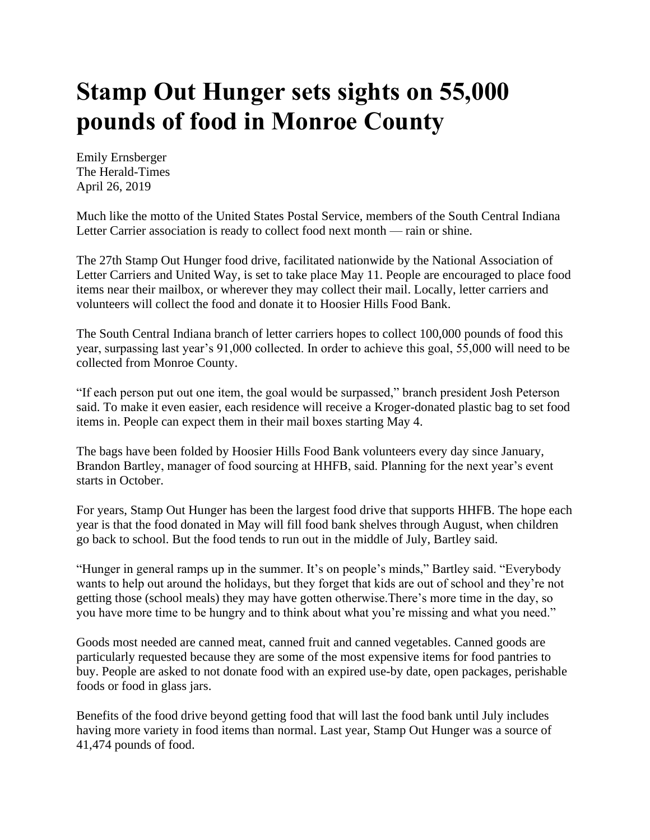## **Stamp Out Hunger sets sights on 55,000 pounds of food in Monroe County**

Emily Ernsberger The Herald-Times April 26, 2019

Much like the motto of the United States Postal Service, members of the South Central Indiana Letter Carrier association is ready to collect food next month — rain or shine.

The 27th Stamp Out Hunger food drive, facilitated nationwide by the National Association of Letter Carriers and United Way, is set to take place May 11. People are encouraged to place food items near their mailbox, or wherever they may collect their mail. Locally, letter carriers and volunteers will collect the food and donate it to Hoosier Hills Food Bank.

The South Central Indiana branch of letter carriers hopes to collect 100,000 pounds of food this year, surpassing last year's 91,000 collected. In order to achieve this goal, 55,000 will need to be collected from Monroe County.

"If each person put out one item, the goal would be surpassed," branch president Josh Peterson said. To make it even easier, each residence will receive a Kroger-donated plastic bag to set food items in. People can expect them in their mail boxes starting May 4.

The bags have been folded by Hoosier Hills Food Bank volunteers every day since January, Brandon Bartley, manager of food sourcing at HHFB, said. Planning for the next year's event starts in October.

For years, Stamp Out Hunger has been the largest food drive that supports HHFB. The hope each year is that the food donated in May will fill food bank shelves through August, when children go back to school. But the food tends to run out in the middle of July, Bartley said.

"Hunger in general ramps up in the summer. It's on people's minds," Bartley said. "Everybody wants to help out around the holidays, but they forget that kids are out of school and they're not getting those (school meals) they may have gotten otherwise.There's more time in the day, so you have more time to be hungry and to think about what you're missing and what you need."

Goods most needed are canned meat, canned fruit and canned vegetables. Canned goods are particularly requested because they are some of the most expensive items for food pantries to buy. People are asked to not donate food with an expired use-by date, open packages, perishable foods or food in glass jars.

Benefits of the food drive beyond getting food that will last the food bank until July includes having more variety in food items than normal. Last year, Stamp Out Hunger was a source of 41,474 pounds of food.